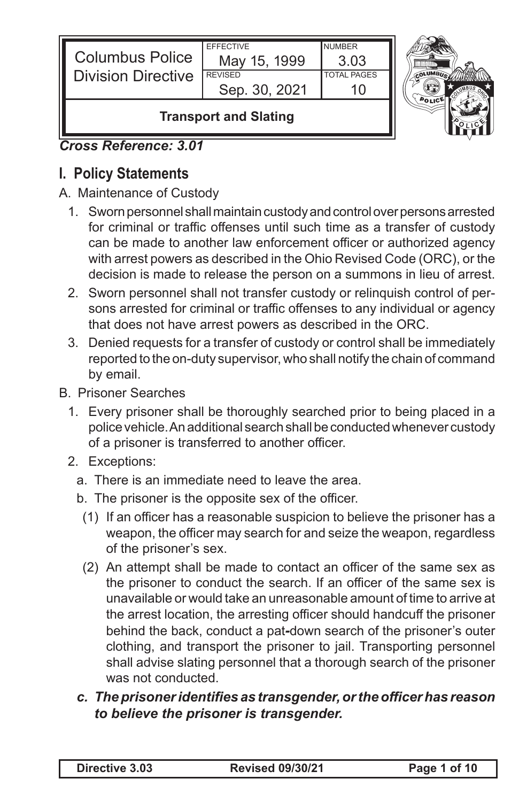| <b>Columbus Police</b><br><b>Division Directive</b> | <b>FFFFCTIVE</b><br>May 15, 1999<br><b>REVISED</b><br>Sep. 30, 2021 | <b>NUMBER</b><br>3.03<br><b>TOTAL PAGES</b> |  |
|-----------------------------------------------------|---------------------------------------------------------------------|---------------------------------------------|--|
| <b>Transport and Slating</b>                        |                                                                     |                                             |  |



#### *Cross Reference: 3.01*

# **I. Policy Statements**

- A. Maintenance of Custody
	- 1. Sworn personnel shall maintain custody and control over persons arrested for criminal or traffic offenses until such time as a transfer of custody can be made to another law enforcement officer or authorized agency with arrest powers as described in the Ohio Revised Code (ORC), or the decision is made to release the person on a summons in lieu of arrest.
	- 2. Sworn personnel shall not transfer custody or relinquish control of persons arrested for criminal or traffic offenses to any individual or agency that does not have arrest powers as described in the ORC.
	- 3. Denied requests for a transfer of custody or control shall be immediately reported to the on-duty supervisor, who shall notify the chain of command by email.
- B. Prisoner Searches
	- 1. Every prisoner shall be thoroughly searched prior to being placed in a police vehicle. An additional search shall be conducted whenever custody of a prisoner is transferred to another officer.
	- 2. Exceptions:
		- a. There is an immediate need to leave the area.
		- b. The prisoner is the opposite sex of the officer.
		- (1) If an officer has a reasonable suspicion to believe the prisoner has a weapon, the officer may search for and seize the weapon, regardless of the prisoner's sex.
		- (2) An attempt shall be made to contact an officer of the same sex as the prisoner to conduct the search. If an officer of the same sex is unavailable or would take an unreasonable amount of time to arrive at the arrest location, the arresting officer should handcuff the prisoner behind the back, conduct a pat*-*down search of the prisoner's outer clothing, and transport the prisoner to jail. Transporting personnel shall advise slating personnel that a thorough search of the prisoner was not conducted.
		- *c. Theprisoneridentifies as transgender,ortheofficerhas reason to believe the prisoner is transgender.*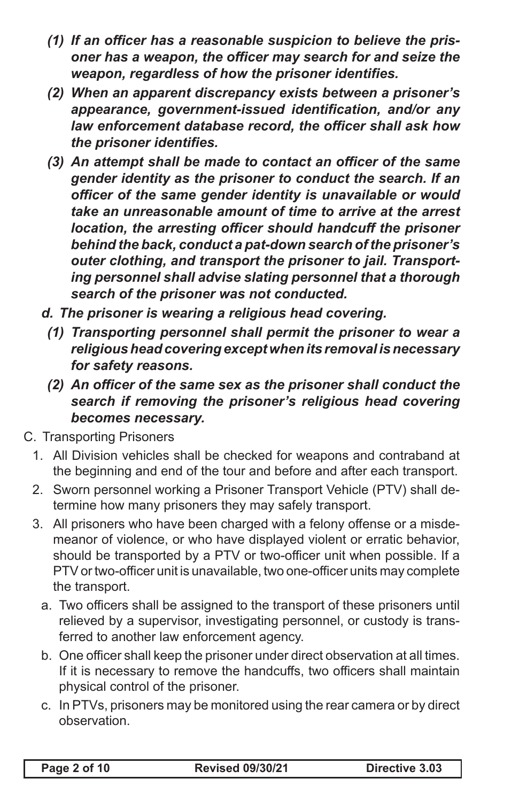- *(1) If an officer has a reasonable suspicion to believe the prisoner has a weapon, the officer may search for and seize the weapon, regardless of how the prisoner identifies.*
- *(2) When an apparent discrepancy exists between a prisoner's appearance, government-issued identification, and/or any law enforcement database record, the officer shall ask how the prisoner identifies.*
- *(3) An attempt shall be made to contact an officer of the same gender identity as the prisoner to conduct the search. If an officer of the same gender identity is unavailable or would take an unreasonable amount of time to arrive at the arrest location, the arresting officer should handcuff the prisoner behind the back, conduct a pat-down search of the prisoner's outer clothing, and transport the prisoner to jail. Transporting personnel shall advise slating personnel that a thorough search of the prisoner was not conducted.*
- *d. The prisoner is wearing a religious head covering.*
	- *(1) Transporting personnel shall permit the prisoner to wear a religiousheadcoveringexceptwhenits removal isnecessary for safety reasons.*
	- *(2) An officer of the same sex as the prisoner shall conduct the search if removing the prisoner's religious head covering becomes necessary.*
- C. Transporting Prisoners
	- 1. All Division vehicles shall be checked for weapons and contraband at the beginning and end of the tour and before and after each transport.
	- 2. Sworn personnel working a Prisoner Transport Vehicle (PTV) shall determine how many prisoners they may safely transport.
	- 3. All prisoners who have been charged with a felony offense or a misdemeanor of violence, or who have displayed violent or erratic behavior, should be transported by a PTV or two-officer unit when possible. If a PTV or two-officer unit is unavailable, two one-officer units may complete the transport.
		- a. Two officers shall be assigned to the transport of these prisoners until relieved by a supervisor, investigating personnel, or custody is transferred to another law enforcement agency.
		- b. One officer shall keep the prisoner under direct observation at all times. If it is necessary to remove the handcuffs, two officers shall maintain physical control of the prisoner.
		- c. In PTVs, prisoners may be monitored using the rear camera or by direct observation.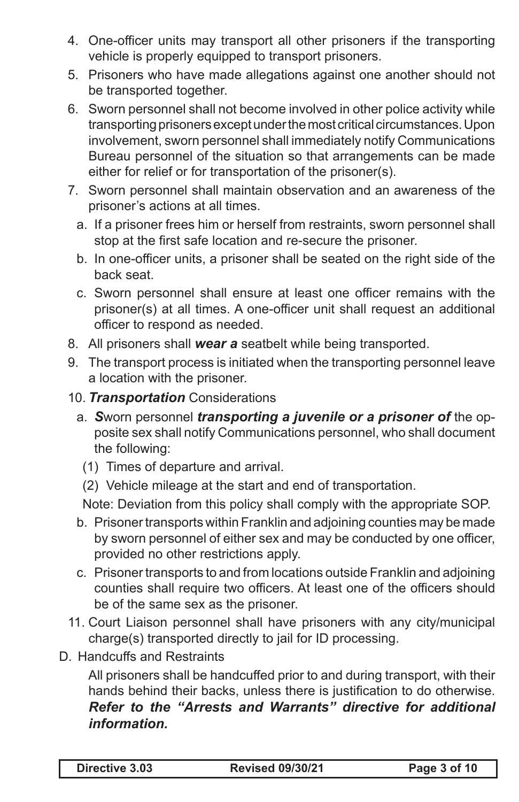- 4. One-officer units may transport all other prisoners if the transporting vehicle is properly equipped to transport prisoners.
- 5. Prisoners who have made allegations against one another should not be transported together.
- 6. Sworn personnel shall not become involved in other police activity while transporting prisoners except under the most critical circumstances. Upon involvement, sworn personnel shall immediately notify Communications Bureau personnel of the situation so that arrangements can be made either for relief or for transportation of the prisoner(s).
- 7. Sworn personnel shall maintain observation and an awareness of the prisoner's actions at all times.
	- a. If a prisoner frees him or herself from restraints, sworn personnel shall stop at the first safe location and re-secure the prisoner.
	- b. In one-officer units, a prisoner shall be seated on the right side of the back seat.
	- c. Sworn personnel shall ensure at least one officer remains with the prisoner(s) at all times. A one-officer unit shall request an additional officer to respond as needed.
- 8. All prisoners shall *wear a* seatbelt while being transported.
- 9. The transport process is initiated when the transporting personnel leave a location with the prisoner.
- 10. *Transportation* Considerations
	- a. *S*worn personnel *transporting a juvenile or a prisoner of* the opposite sex shall notify Communications personnel, who shall document the following:
		- (1) Times of departure and arrival.
		- (2) Vehicle mileage at the start and end of transportation.

Note: Deviation from this policy shall comply with the appropriate SOP.

- b. Prisoner transports within Franklin and adjoining counties may be made by sworn personnel of either sex and may be conducted by one officer, provided no other restrictions apply.
- c. Prisoner transports to and from locations outside Franklin and adjoining counties shall require two officers. At least one of the officers should be of the same sex as the prisoner.
- 11. Court Liaison personnel shall have prisoners with any city/municipal charge(s) transported directly to jail for ID processing.
- D. Handcuffs and Restraints

All prisoners shall be handcuffed prior to and during transport, with their hands behind their backs, unless there is justification to do otherwise. *Refer to the "Arrests and Warrants" directive for additional information.*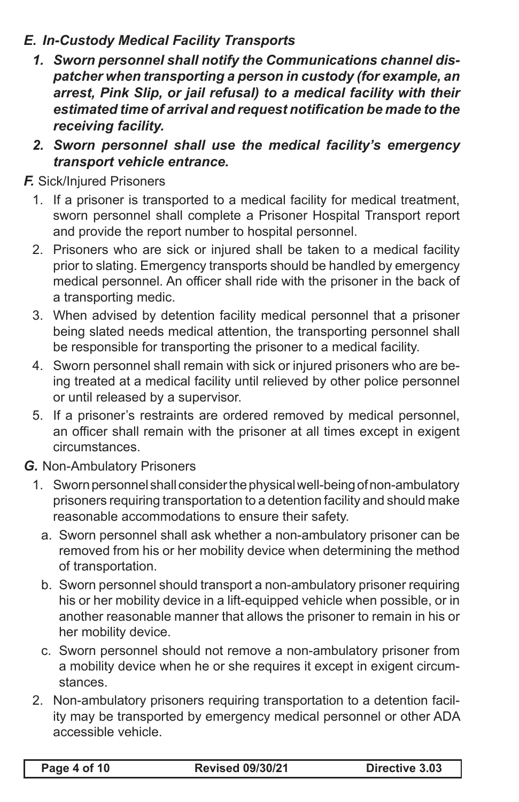### *E. In-Custody Medical Facility Transports*

- *1. Sworn personnel shall notify the Communications channel dispatcher when transporting a person in custody (for example, an arrest, Pink Slip, or jail refusal) to a medical facility with their estimated time of arrival and request notification be made to the receiving facility.*
- *2. Sworn personnel shall use the medical facility's emergency transport vehicle entrance.*

*F.* Sick/Injured Prisoners

- 1. If a prisoner is transported to a medical facility for medical treatment, sworn personnel shall complete a Prisoner Hospital Transport report and provide the report number to hospital personnel.
- 2. Prisoners who are sick or injured shall be taken to a medical facility prior to slating. Emergency transports should be handled by emergency medical personnel. An officer shall ride with the prisoner in the back of a transporting medic.
- 3. When advised by detention facility medical personnel that a prisoner being slated needs medical attention, the transporting personnel shall be responsible for transporting the prisoner to a medical facility.
- 4. Sworn personnel shall remain with sick or injured prisoners who are being treated at a medical facility until relieved by other police personnel or until released by a supervisor.
- 5. If a prisoner's restraints are ordered removed by medical personnel, an officer shall remain with the prisoner at all times except in exigent circumstances.
- *G.* Non-Ambulatory Prisoners
	- 1. Sworn personnel shall consider the physical well-being of non-ambulatory prisoners requiring transportation to a detention facility and should make reasonable accommodations to ensure their safety.
		- a. Sworn personnel shall ask whether a non-ambulatory prisoner can be removed from his or her mobility device when determining the method of transportation.
		- b. Sworn personnel should transport a non-ambulatory prisoner requiring his or her mobility device in a lift-equipped vehicle when possible, or in another reasonable manner that allows the prisoner to remain in his or her mobility device.
		- c. Sworn personnel should not remove a non-ambulatory prisoner from a mobility device when he or she requires it except in exigent circumstances.
	- 2. Non-ambulatory prisoners requiring transportation to a detention facility may be transported by emergency medical personnel or other ADA accessible vehicle.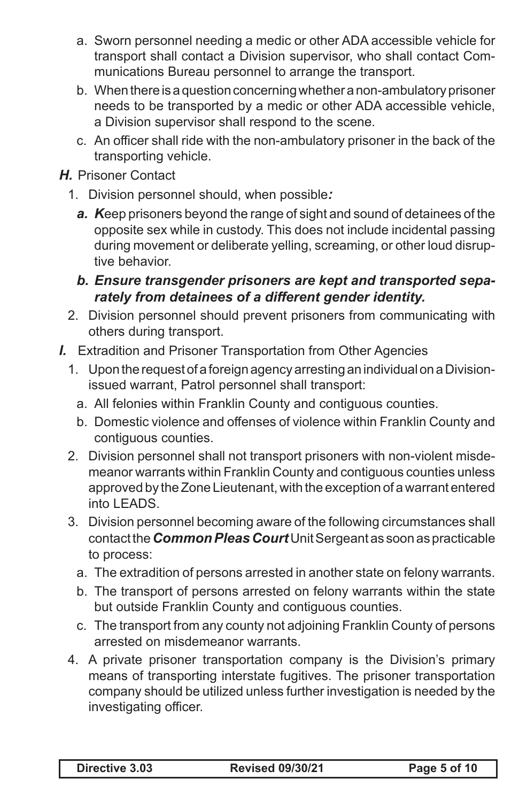- a. Sworn personnel needing a medic or other ADA accessible vehicle for transport shall contact a Division supervisor, who shall contact Communications Bureau personnel to arrange the transport.
- b. When there is a question concerning whether a non-ambulatory prisoner needs to be transported by a medic or other ADA accessible vehicle, a Division supervisor shall respond to the scene.
- c. An officer shall ride with the non-ambulatory prisoner in the back of the transporting vehicle.
- *H.* Prisoner Contact
	- 1. Division personnel should, when possible*:*
		- **a.** Keep prisoners beyond the range of sight and sound of detainees of the opposite sex while in custody. This does not include incidental passing during movement or deliberate yelling, screaming, or other loud disruptive behavior.
		- *b. Ensure transgender prisoners are kept and transported separately from detainees of a different gender identity.*
	- 2. Division personnel should prevent prisoners from communicating with others during transport.
- *I.* Extradition and Prisoner Transportation from Other Agencies
	- 1. Upon the request of a foreign agency arresting an individual on a Divisionissued warrant, Patrol personnel shall transport:
		- a. All felonies within Franklin County and contiguous counties.
		- b. Domestic violence and offenses of violence within Franklin County and contiguous counties.
	- 2. Division personnel shall not transport prisoners with non-violent misdemeanor warrants within Franklin County and contiguous counties unless approved by the Zone Lieutenant, with the exception of a warrant entered into LEADS.
	- 3. Division personnel becoming aware of the following circumstances shall contact the *CommonPleasCourt*Unit Sergeant as soon as practicable to process:
		- a. The extradition of persons arrested in another state on felony warrants.
		- b. The transport of persons arrested on felony warrants within the state but outside Franklin County and contiguous counties.
		- c. The transport from any county not adjoining Franklin County of persons arrested on misdemeanor warrants.
	- 4. A private prisoner transportation company is the Division's primary means of transporting interstate fugitives. The prisoner transportation company should be utilized unless further investigation is needed by the investigating officer.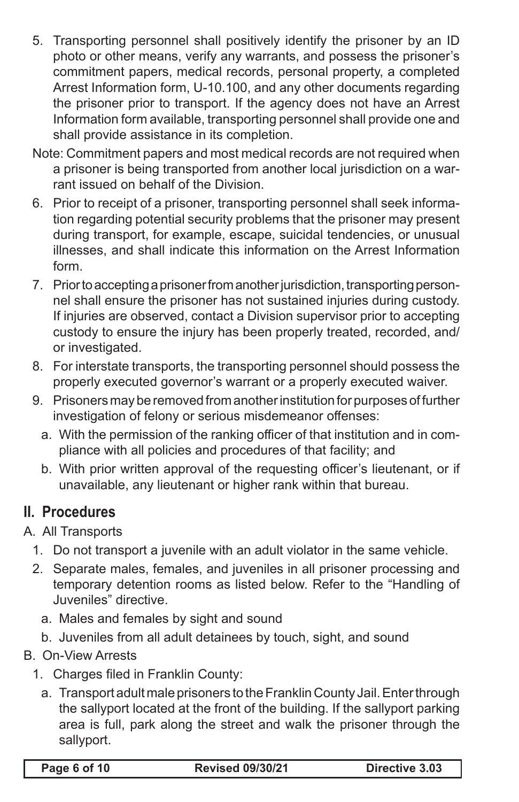- 5. Transporting personnel shall positively identify the prisoner by an ID photo or other means, verify any warrants, and possess the prisoner's commitment papers, medical records, personal property, a completed Arrest Information form, U-10.100, and any other documents regarding the prisoner prior to transport. If the agency does not have an Arrest Information form available, transporting personnel shall provide one and shall provide assistance in its completion.
- Note: Commitment papers and most medical records are not required when a prisoner is being transported from another local jurisdiction on a warrant issued on behalf of the Division.
- 6. Prior to receipt of a prisoner, transporting personnel shall seek information regarding potential security problems that the prisoner may present during transport, for example, escape, suicidal tendencies, or unusual illnesses, and shall indicate this information on the Arrest Information form.
- 7. Prior to accepting a prisoner from another jurisdiction, transporting personnel shall ensure the prisoner has not sustained injuries during custody. If injuries are observed, contact a Division supervisor prior to accepting custody to ensure the injury has been properly treated, recorded, and/ or investigated.
- 8. For interstate transports, the transporting personnel should possess the properly executed governor's warrant or a properly executed waiver.
- 9. Prisoners may be removed from another institution for purposes of further investigation of felony or serious misdemeanor offenses:
	- a. With the permission of the ranking officer of that institution and in compliance with all policies and procedures of that facility; and
	- b. With prior written approval of the requesting officer's lieutenant, or if unavailable, any lieutenant or higher rank within that bureau.

# **II. Procedures**

A. All Transports

- 1. Do not transport a juvenile with an adult violator in the same vehicle.
- 2. Separate males, females, and juveniles in all prisoner processing and temporary detention rooms as listed below. Refer to the "Handling of Juveniles" directive.
	- a. Males and females by sight and sound
	- b. Juveniles from all adult detainees by touch, sight, and sound
- B. On-View Arrests
	- 1. Charges filed in Franklin County:
		- a. Transport adult male prisoners to the Franklin County Jail. Enter through the sallyport located at the front of the building. If the sallyport parking area is full, park along the street and walk the prisoner through the sallyport.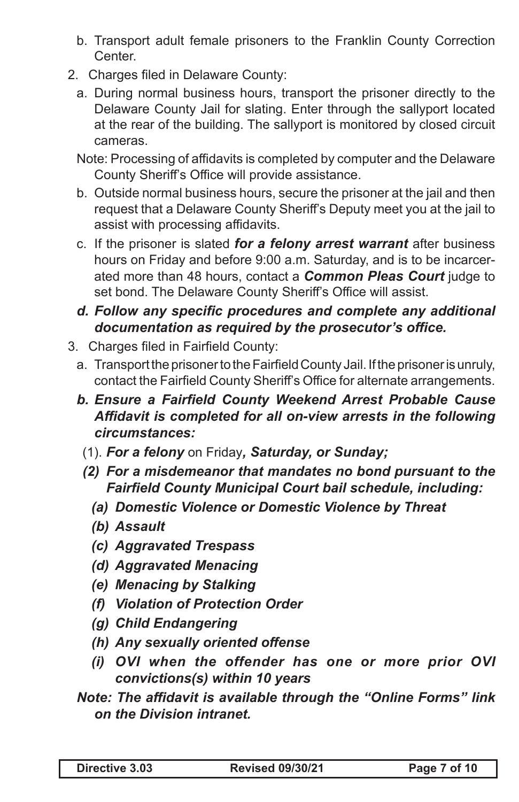- b. Transport adult female prisoners to the Franklin County Correction Center.
- 2. Charges filed in Delaware County:
	- a. During normal business hours, transport the prisoner directly to the Delaware County Jail for slating. Enter through the sallyport located at the rear of the building. The sallyport is monitored by closed circuit cameras.

Note: Processing of affidavits is completed by computer and the Delaware County Sheriff's Office will provide assistance.

- b. Outside normal business hours, secure the prisoner at the jail and then request that a Delaware County Sheriff's Deputy meet you at the jail to assist with processing affidavits.
- c. If the prisoner is slated *for a felony arrest warrant* after business hours on Friday and before 9:00 a.m. Saturday, and is to be incarcerated more than 48 hours, contact a *Common Pleas Court* judge to set bond. The Delaware County Sheriff's Office will assist.

## *d. Follow any specific procedures and complete any additional documentation as required by the prosecutor's office.*

- 3. Charges filed in Fairfield County:
	- a. Transport the prisoner to the Fairfield County Jail. If the prisoner is unruly, contact the Fairfield County Sheriff's Office for alternate arrangements.
	- *b. Ensure a Fairfield County Weekend Arrest Probable Cause Affidavit is completed for all on-view arrests in the following circumstances:*
		- (1). *For a felony* on Friday*, Saturday, or Sunday;*
		- *(2) For a misdemeanor that mandates no bond pursuant to the Fairfield County Municipal Court bail schedule, including:*
			- *(a) Domestic Violence or Domestic Violence by Threat*
			- *(b) Assault*
			- *(c) Aggravated Trespass*
			- *(d) Aggravated Menacing*
			- *(e) Menacing by Stalking*
			- *(f) Violation of Protection Order*
			- *(g) Child Endangering*
			- *(h) Any sexually oriented offense*
			- *(i) OVI when the offender has one or more prior OVI convictions(s) within 10 years*

*Note: The affidavit is available through the "Online Forms" link on the Division intranet.*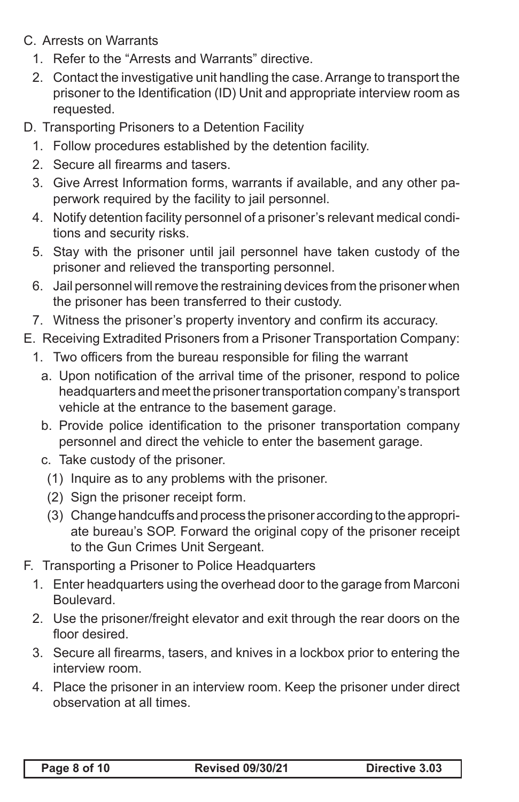- C. Arrests on Warrants
	- 1. Refer to the "Arrests and Warrants" directive.
	- 2. Contact the investigative unit handling the case. Arrange to transport the prisoner to the Identification (ID) Unit and appropriate interview room as requested.
- D. Transporting Prisoners to a Detention Facility
	- 1. Follow procedures established by the detention facility.
	- 2. Secure all firearms and tasers.
	- 3. Give Arrest Information forms, warrants if available, and any other paperwork required by the facility to jail personnel.
	- 4. Notify detention facility personnel of a prisoner's relevant medical conditions and security risks.
	- 5. Stay with the prisoner until jail personnel have taken custody of the prisoner and relieved the transporting personnel.
	- 6. Jail personnel will remove the restraining devices from the prisoner when the prisoner has been transferred to their custody.
	- 7. Witness the prisoner's property inventory and confirm its accuracy.
- E. Receiving Extradited Prisoners from a Prisoner Transportation Company:
	- 1. Two officers from the bureau responsible for filing the warrant
		- a. Upon notification of the arrival time of the prisoner, respond to police headquarters and meet the prisoner transportation company's transport vehicle at the entrance to the basement garage.
		- b. Provide police identification to the prisoner transportation company personnel and direct the vehicle to enter the basement garage.
		- c. Take custody of the prisoner.
			- (1) Inquire as to any problems with the prisoner.
			- (2) Sign the prisoner receipt form.
			- (3) Change handcuffs and process the prisoner according to the appropriate bureau's SOP. Forward the original copy of the prisoner receipt to the Gun Crimes Unit Sergeant.
- F. Transporting a Prisoner to Police Headquarters
	- 1. Enter headquarters using the overhead door to the garage from Marconi Boulevard.
	- 2. Use the prisoner/freight elevator and exit through the rear doors on the floor desired.
	- 3. Secure all firearms, tasers, and knives in a lockbox prior to entering the interview room.
	- 4. Place the prisoner in an interview room. Keep the prisoner under direct observation at all times.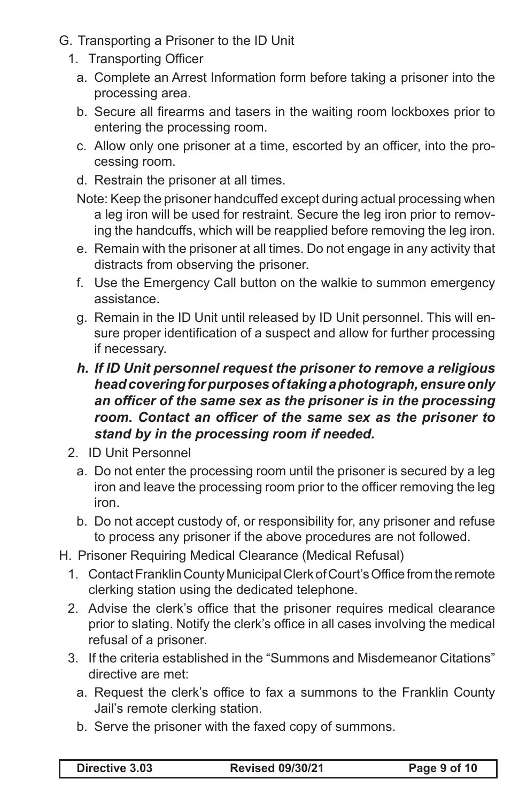- G. Transporting a Prisoner to the ID Unit
	- 1. Transporting Officer
		- a. Complete an Arrest Information form before taking a prisoner into the processing area.
		- b. Secure all firearms and tasers in the waiting room lockboxes prior to entering the processing room.
		- c. Allow only one prisoner at a time, escorted by an officer, into the processing room.
		- d. Restrain the prisoner at all times.
		- Note: Keep the prisoner handcuffed except during actual processing when a leg iron will be used for restraint. Secure the leg iron prior to removing the handcuffs, which will be reapplied before removing the leg iron.
		- e. Remain with the prisoner at all times. Do not engage in any activity that distracts from observing the prisoner.
		- f. Use the Emergency Call button on the walkie to summon emergency assistance.
		- g. Remain in the ID Unit until released by ID Unit personnel. This will ensure proper identification of a suspect and allow for further processing if necessary.

#### *h. If ID Unit personnel request the prisoner to remove a religious headcoveringforpurposesoftakingaphotograph,ensureonly an officer of the same sex as the prisoner is in the processing room. Contact an officer of the same sex as the prisoner to stand by in the processing room if needed.*

- 2. ID Unit Personnel
	- a. Do not enter the processing room until the prisoner is secured by a leg iron and leave the processing room prior to the officer removing the leg iron.
	- b. Do not accept custody of, or responsibility for, any prisoner and refuse to process any prisoner if the above procedures are not followed.
- H. Prisoner Requiring Medical Clearance (Medical Refusal)
	- 1. Contact Franklin County Municipal Clerk of Court's Office from the remote clerking station using the dedicated telephone.
	- 2. Advise the clerk's office that the prisoner requires medical clearance prior to slating. Notify the clerk's office in all cases involving the medical refusal of a prisoner.
	- 3. If the criteria established in the "Summons and Misdemeanor Citations" directive are met:
		- a. Request the clerk's office to fax a summons to the Franklin County Jail's remote clerking station.
		- b. Serve the prisoner with the faxed copy of summons.